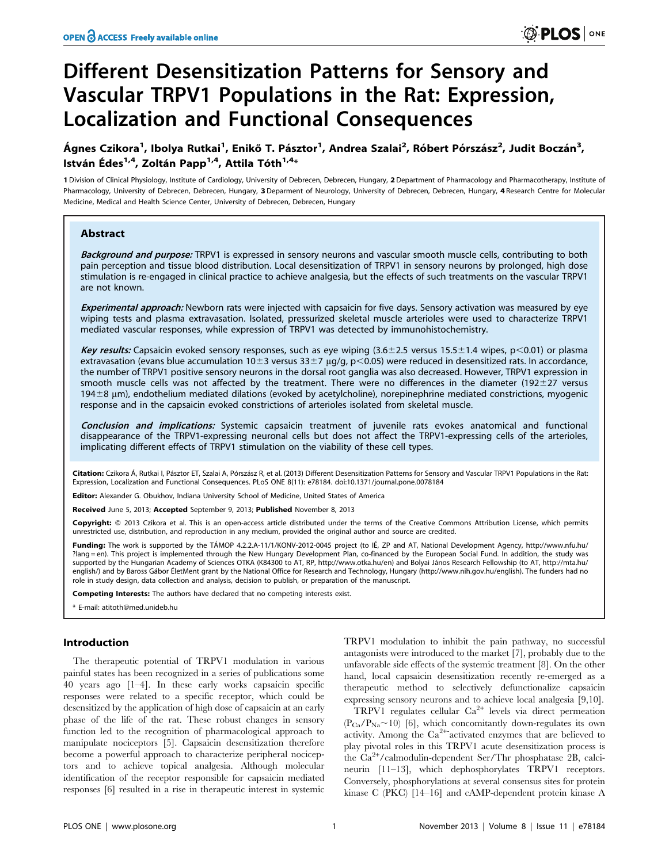# Different Desensitization Patterns for Sensory and Vascular TRPV1 Populations in the Rat: Expression, Localization and Functional Consequences

# Ágnes Czikora<sup>1</sup>, Ibolya Rutkai<sup>1</sup>, Enikő T. Pásztor<sup>1</sup>, Andrea Szalai<sup>2</sup>, Róbert Pórszász<sup>2</sup>, Judit Boczán<sup>3</sup>, István Édes<sup>1,4</sup>, Zoltán Papp<sup>1,4</sup>, Attila Tóth<sup>1,4\*</sup>

1 Division of Clinical Physiology, Institute of Cardiology, University of Debrecen, Debrecen, Hungary, 2 Department of Pharmacology and Pharmacotherapy, Institute of Pharmacology, University of Debrecen, Debrecen, Hungary, 3 Deparment of Neurology, University of Debrecen, Debrecen, Hungary, 4 Research Centre for Molecular Medicine, Medical and Health Science Center, University of Debrecen, Debrecen, Hungary

#### Abstract

Background and purpose: TRPV1 is expressed in sensory neurons and vascular smooth muscle cells, contributing to both pain perception and tissue blood distribution. Local desensitization of TRPV1 in sensory neurons by prolonged, high dose stimulation is re-engaged in clinical practice to achieve analgesia, but the effects of such treatments on the vascular TRPV1 are not known.

**Experimental approach:** Newborn rats were injected with capsaicin for five days. Sensory activation was measured by eye wiping tests and plasma extravasation. Isolated, pressurized skeletal muscle arterioles were used to characterize TRPV1 mediated vascular responses, while expression of TRPV1 was detected by immunohistochemistry.

Key results: Capsaicin evoked sensory responses, such as eye wiping  $(3.6 \pm 2.5$  versus 15.5 $\pm$ 1.4 wipes, p $<$ 0.01) or plasma extravasation (evans blue accumulation 10 $\pm$ 3 versus 33 $\pm$ 7 µg/g, p<0.05) were reduced in desensitized rats. In accordance, the number of TRPV1 positive sensory neurons in the dorsal root ganglia was also decreased. However, TRPV1 expression in smooth muscle cells was not affected by the treatment. There were no differences in the diameter (192 $\pm$ 27 versus 194±8 µm), endothelium mediated dilations (evoked by acetylcholine), norepinephrine mediated constrictions, myogenic response and in the capsaicin evoked constrictions of arterioles isolated from skeletal muscle.

Conclusion and implications: Systemic capsaicin treatment of juvenile rats evokes anatomical and functional disappearance of the TRPV1-expressing neuronal cells but does not affect the TRPV1-expressing cells of the arterioles, implicating different effects of TRPV1 stimulation on the viability of these cell types.

Citation: Czikora Á, Rutkai I, Pásztor ET, Szalai A, Pórszász R, et al. (2013) Different Desensitization Patterns for Sensory and Vascular TRPV1 Populations in the Rat: Expression, Localization and Functional Consequences. PLoS ONE 8(11): e78184. doi:10.1371/journal.pone.0078184

Editor: Alexander G. Obukhov, Indiana University School of Medicine, United States of America

Received June 5, 2013; Accepted September 9, 2013; Published November 8, 2013

Copyright: © 2013 Czikora et al. This is an open-access article distributed under the terms of the Creative Commons Attribution License, which permits unrestricted use, distribution, and reproduction in any medium, provided the original author and source are credited.

Funding: The work is supported by the TÁMOP 4.2.2.A-11/1/KONV-2012-0045 project (to IÉ, ZP and AT, National Development Agency, http://www.nfu.hu/ ?lang = en). This project is implemented through the New Hungary Development Plan, co-financed by the European Social Fund. In addition, the study was supported by the Hungarian Academy of Sciences OTKA (K84300 to AT, RP, http://www.otka.hu/en) and Bolyai János Research Fellowship (to AT, http://mta.hu/ english/) and by Baross Gábor EletMent grant by the National Office for Research and Technology, Hungary (http://www.nih.gov.hu/english). The funders had no role in study design, data collection and analysis, decision to publish, or preparation of the manuscript.

Competing Interests: The authors have declared that no competing interests exist.

\* E-mail: atitoth@med.unideb.hu

#### Introduction

The therapeutic potential of TRPV1 modulation in various painful states has been recognized in a series of publications some 40 years ago [1–4]. In these early works capsaicin specific responses were related to a specific receptor, which could be desensitized by the application of high dose of capsaicin at an early phase of the life of the rat. These robust changes in sensory function led to the recognition of pharmacological approach to manipulate nociceptors [5]. Capsaicin desensitization therefore become a powerful approach to characterize peripheral nociceptors and to achieve topical analgesia. Although molecular identification of the receptor responsible for capsaicin mediated responses [6] resulted in a rise in therapeutic interest in systemic

TRPV1 modulation to inhibit the pain pathway, no successful antagonists were introduced to the market [7], probably due to the unfavorable side effects of the systemic treatment [8]. On the other hand, local capsaicin desensitization recently re-emerged as a therapeutic method to selectively defunctionalize capsaicin expressing sensory neurons and to achieve local analgesia [9,10].

TRPV1 regulates cellular  $Ca^{2+}$  levels via direct permeation  $(P_{Ca}/P_{Na}\sim10)$  [6], which concomitantly down-regulates its own activity. Among the Ca<sup>2+-</sup>activated enzymes that are believed to play pivotal roles in this TRPV1 acute desensitization process is the Ca2<sup>+</sup> /calmodulin-dependent Ser/Thr phosphatase 2B, calcineurin [11–13], which dephosphorylates TRPV1 receptors. Conversely, phosphorylations at several consensus sites for protein kinase C (PKC) [14–16] and cAMP-dependent protein kinase A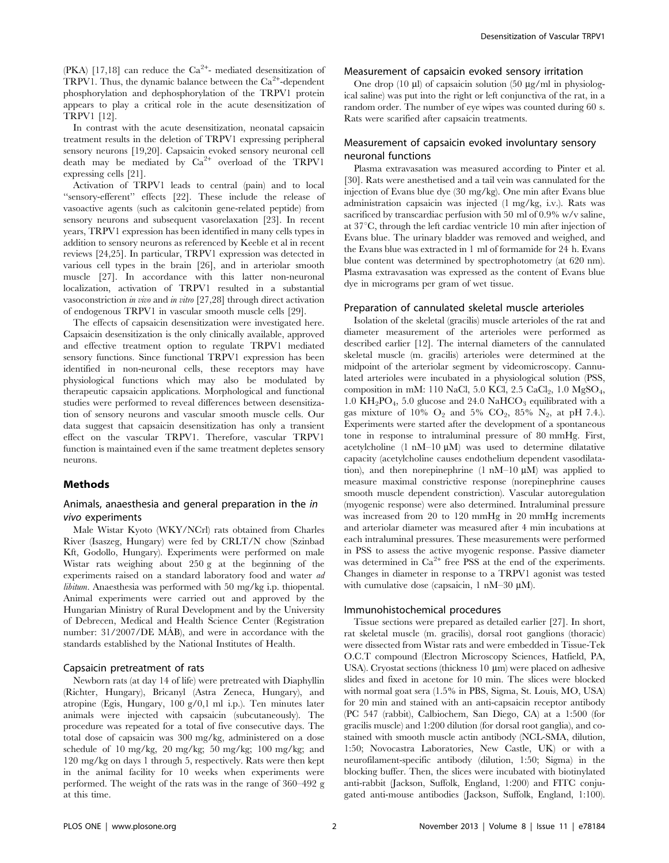(PKA) [17,18] can reduce the  $Ca^{2+}$ - mediated desensitization of TRPV1. Thus, the dynamic balance between the  $\text{Ca}^{2+}$ -dependent phosphorylation and dephosphorylation of the TRPV1 protein appears to play a critical role in the acute desensitization of TRPV1 [12].

In contrast with the acute desensitization, neonatal capsaicin treatment results in the deletion of TRPV1 expressing peripheral sensory neurons [19,20]. Capsaicin evoked sensory neuronal cell death may be mediated by  $Ca^{2+}$  overload of the TRPV1 expressing cells [21].

Activation of TRPV1 leads to central (pain) and to local ''sensory-efferent'' effects [22]. These include the release of vasoactive agents (such as calcitonin gene-related peptide) from sensory neurons and subsequent vasorelaxation [23]. In recent years, TRPV1 expression has been identified in many cells types in addition to sensory neurons as referenced by Keeble et al in recent reviews [24,25]. In particular, TRPV1 expression was detected in various cell types in the brain [26], and in arteriolar smooth muscle [27]. In accordance with this latter non-neuronal localization, activation of TRPV1 resulted in a substantial vasoconstriction in vivo and in vitro [27,28] through direct activation of endogenous TRPV1 in vascular smooth muscle cells [29].

The effects of capsaicin desensitization were investigated here. Capsaicin desensitization is the only clinically available, approved and effective treatment option to regulate TRPV1 mediated sensory functions. Since functional TRPV1 expression has been identified in non-neuronal cells, these receptors may have physiological functions which may also be modulated by therapeutic capsaicin applications. Morphological and functional studies were performed to reveal differences between desensitization of sensory neurons and vascular smooth muscle cells. Our data suggest that capsaicin desensitization has only a transient effect on the vascular TRPV1. Therefore, vascular TRPV1 function is maintained even if the same treatment depletes sensory neurons.

## Methods

# Animals, anaesthesia and general preparation in the in vivo experiments

Male Wistar Kyoto (WKY/NCrl) rats obtained from Charles River (Isaszeg, Hungary) were fed by CRLT/N chow (Szinbad Kft, Godollo, Hungary). Experiments were performed on male Wistar rats weighing about 250 g at the beginning of the experiments raised on a standard laboratory food and water ad libitum. Anaesthesia was performed with 50 mg/kg i.p. thiopental. Animal experiments were carried out and approved by the Hungarian Ministry of Rural Development and by the University of Debrecen, Medical and Health Science Center (Registration number:  $31/2007/DE$  MÁB), and were in accordance with the standards established by the National Institutes of Health.

#### Capsaicin pretreatment of rats

Newborn rats (at day 14 of life) were pretreated with Diaphyllin (Richter, Hungary), Bricanyl (Astra Zeneca, Hungary), and atropine (Egis, Hungary, 100 g/0,1 ml i.p.). Ten minutes later animals were injected with capsaicin (subcutaneously). The procedure was repeated for a total of five consecutive days. The total dose of capsaicin was 300 mg/kg, administered on a dose schedule of 10 mg/kg, 20 mg/kg; 50 mg/kg; 100 mg/kg; and 120 mg/kg on days 1 through 5, respectively. Rats were then kept in the animal facility for 10 weeks when experiments were performed. The weight of the rats was in the range of 360–492 g at this time.

#### Measurement of capsaicin evoked sensory irritation

One drop (10  $\mu$ I) of capsaicin solution (50  $\mu$ g/ml in physiological saline) was put into the right or left conjunctiva of the rat, in a random order. The number of eye wipes was counted during 60 s. Rats were scarified after capsaicin treatments.

# Measurement of capsaicin evoked involuntary sensory neuronal functions

Plasma extravasation was measured according to Pinter et al. [30]. Rats were anesthetised and a tail vein was cannulated for the injection of Evans blue dye (30 mg/kg). One min after Evans blue administration capsaicin was injected (1 mg/kg, i.v.). Rats was sacrificed by transcardiac perfusion with 50 ml of 0.9% w/v saline, at  $37^{\circ}$ C, through the left cardiac ventricle 10 min after injection of Evans blue. The urinary bladder was removed and weighed, and the Evans blue was extracted in 1 ml of formamide for 24 h. Evans blue content was determined by spectrophotometry (at 620 nm). Plasma extravasation was expressed as the content of Evans blue dye in micrograms per gram of wet tissue.

#### Preparation of cannulated skeletal muscle arterioles

Isolation of the skeletal (gracilis) muscle arterioles of the rat and diameter measurement of the arterioles were performed as described earlier [12]. The internal diameters of the cannulated skeletal muscle (m. gracilis) arterioles were determined at the midpoint of the arteriolar segment by videomicroscopy. Cannulated arterioles were incubated in a physiological solution (PSS, composition in mM: 110 NaCl, 5.0 KCl, 2.5 CaCl<sub>2</sub>, 1.0 MgSO<sub>4</sub>, 1.0 KH<sub>2</sub>PO<sub>4</sub>, 5.0 glucose and 24.0 NaHCO<sub>3</sub> equilibrated with a gas mixture of 10%  $O_2$  and 5%  $CO_2$ , 85%  $N_2$ , at pH 7.4.). Experiments were started after the development of a spontaneous tone in response to intraluminal pressure of 80 mmHg. First, acetylcholine  $(1 nM-10 \mu M)$  was used to determine dilatative capacity (acetylcholine causes endothelium dependent vasodilatation), and then norepinephrine  $(1 nM-10 \mu M)$  was applied to measure maximal constrictive response (norepinephrine causes smooth muscle dependent constriction). Vascular autoregulation (myogenic response) were also determined. Intraluminal pressure was increased from 20 to 120 mmHg in 20 mmHg increments and arteriolar diameter was measured after 4 min incubations at each intraluminal pressures. These measurements were performed in PSS to assess the active myogenic response. Passive diameter was determined in  $Ca^{2+}$  free PSS at the end of the experiments. Changes in diameter in response to a TRPV1 agonist was tested with cumulative dose (capsaicin,  $1 \text{ nM}$ –30  $\mu$ M).

#### Immunohistochemical procedures

Tissue sections were prepared as detailed earlier [27]. In short, rat skeletal muscle (m. gracilis), dorsal root ganglions (thoracic) were dissected from Wistar rats and were embedded in Tissue-Tek O.C.T compound (Electron Microscopy Sciences, Hatfield, PA, USA). Cryostat sections (thickness  $10 \mu m$ ) were placed on adhesive slides and fixed in acetone for 10 min. The slices were blocked with normal goat sera (1.5% in PBS, Sigma, St. Louis, MO, USA) for 20 min and stained with an anti-capsaicin receptor antibody (PC 547 (rabbit), Calbiochem, San Diego, CA) at a 1:500 (for gracilis muscle) and 1:200 dilution (for dorsal root ganglia), and costained with smooth muscle actin antibody (NCL-SMA, dilution, 1:50; Novocastra Laboratories, New Castle, UK) or with a neurofilament-specific antibody (dilution, 1:50; Sigma) in the blocking buffer. Then, the slices were incubated with biotinylated anti-rabbit (Jackson, Suffolk, England, 1:200) and FITC conjugated anti-mouse antibodies (Jackson, Suffolk, England, 1:100).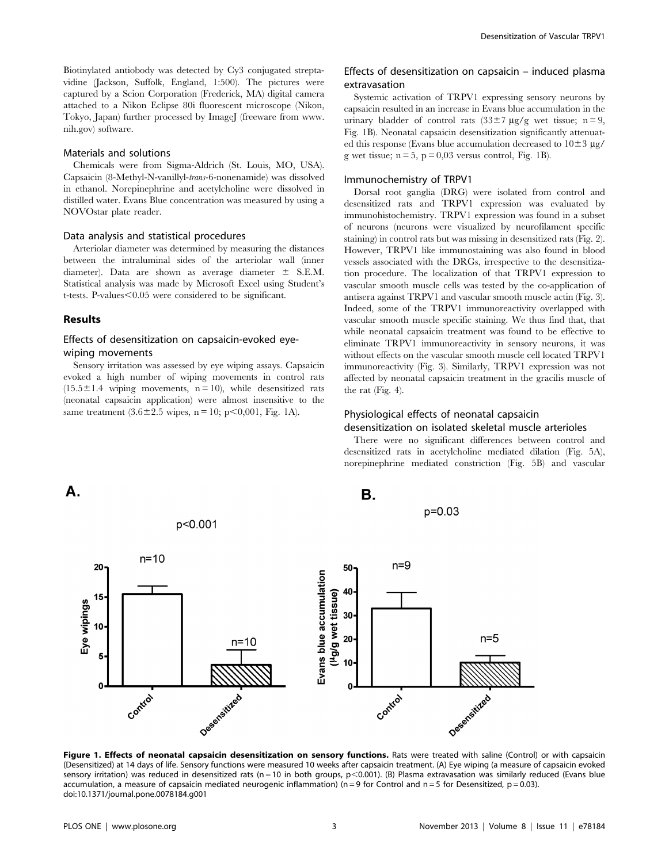Biotinylated antiobody was detected by Cy3 conjugated streptavidine (Jackson, Suffolk, England, 1:500). The pictures were captured by a Scion Corporation (Frederick, MA) digital camera attached to a Nikon Eclipse 80i fluorescent microscope (Nikon, Tokyo, Japan) further processed by ImageJ (freeware from www. nih.gov) software.

#### Materials and solutions

Chemicals were from Sigma-Aldrich (St. Louis, MO, USA). Capsaicin (8-Methyl-N-vanillyl-trans-6-nonenamide) was dissolved in ethanol. Norepinephrine and acetylcholine were dissolved in distilled water. Evans Blue concentration was measured by using a NOVOstar plate reader.

#### Data analysis and statistical procedures

Arteriolar diameter was determined by measuring the distances between the intraluminal sides of the arteriolar wall (inner diameter). Data are shown as average diameter  $\pm$  S.E.M. Statistical analysis was made by Microsoft Excel using Student's t-tests. P-values<0.05 were considered to be significant.

#### Results

# Effects of desensitization on capsaicin-evoked eyewiping movements

Sensory irritation was assessed by eye wiping assays. Capsaicin evoked a high number of wiping movements in control rats  $(15.5 \pm 1.4$  wiping movements, n = 10), while desensitized rats (neonatal capsaicin application) were almost insensitive to the same treatment  $(3.6 \pm 2.5 \text{ wipes}, n = 10; \text{ p} < 0,001, \text{ Fig. 1A}).$ 

# Effects of desensitization on capsaicin – induced plasma extravasation

Systemic activation of TRPV1 expressing sensory neurons by capsaicin resulted in an increase in Evans blue accumulation in the urinary bladder of control rats  $(33\pm7 \text{ kg/g} \text{ wet tissue}; n=9,$ Fig. 1B). Neonatal capsaicin desensitization significantly attenuated this response (Evans blue accumulation decreased to  $10\pm3$  µg/ g wet tissue;  $n = 5$ ,  $p = 0.03$  versus control, Fig. 1B).

#### Immunochemistry of TRPV1

Dorsal root ganglia (DRG) were isolated from control and desensitized rats and TRPV1 expression was evaluated by immunohistochemistry. TRPV1 expression was found in a subset of neurons (neurons were visualized by neurofilament specific staining) in control rats but was missing in desensitized rats (Fig. 2). However, TRPV1 like immunostaining was also found in blood vessels associated with the DRGs, irrespective to the desensitization procedure. The localization of that TRPV1 expression to vascular smooth muscle cells was tested by the co-application of antisera against TRPV1 and vascular smooth muscle actin (Fig. 3). Indeed, some of the TRPV1 immunoreactivity overlapped with vascular smooth muscle specific staining. We thus find that, that while neonatal capsaicin treatment was found to be effective to eliminate TRPV1 immunoreactivity in sensory neurons, it was without effects on the vascular smooth muscle cell located TRPV1 immunoreactivity (Fig. 3). Similarly, TRPV1 expression was not affected by neonatal capsaicin treatment in the gracilis muscle of the rat (Fig. 4).

# Physiological effects of neonatal capsaicin desensitization on isolated skeletal muscle arterioles

There were no significant differences between control and desensitized rats in acetylcholine mediated dilation (Fig. 5A), norepinephrine mediated constriction (Fig. 5B) and vascular



Figure 1. Effects of neonatal capsaicin desensitization on sensory functions. Rats were treated with saline (Control) or with capsaicin (Desensitized) at 14 days of life. Sensory functions were measured 10 weeks after capsaicin treatment. (A) Eye wiping (a measure of capsaicin evoked sensory irritation) was reduced in desensitized rats (n = 10 in both groups, p<0.001). (B) Plasma extravasation was similarly reduced (Evans blue accumulation, a measure of capsaicin mediated neurogenic inflammation) (n = 9 for Control and n = 5 for Desensitized, p = 0.03). doi:10.1371/journal.pone.0078184.g001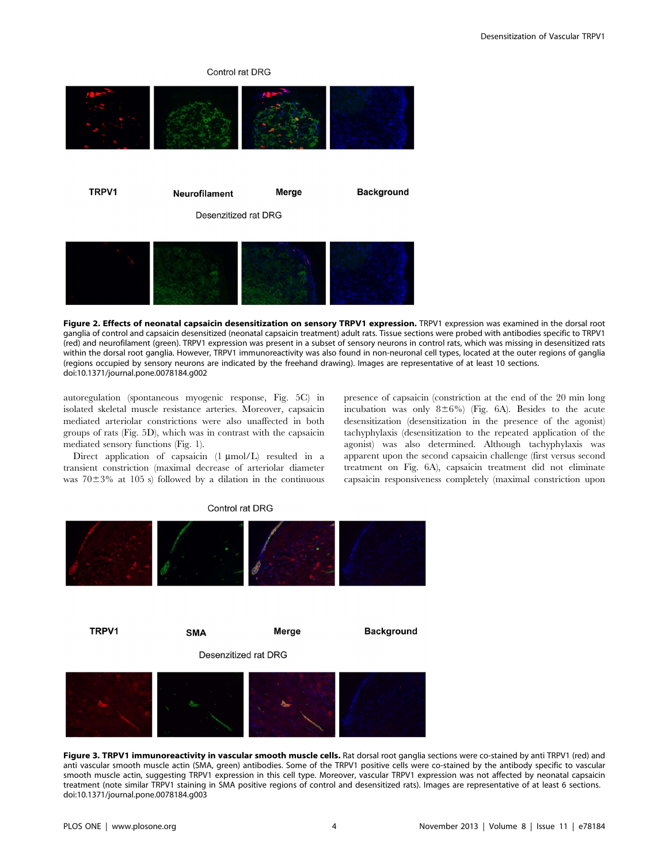

Figure 2. Effects of neonatal capsaicin desensitization on sensory TRPV1 expression. TRPV1 expression was examined in the dorsal root ganglia of control and capsaicin desensitized (neonatal capsaicin treatment) adult rats. Tissue sections were probed with antibodies specific to TRPV1 (red) and neurofilament (green). TRPV1 expression was present in a subset of sensory neurons in control rats, which was missing in desensitized rats within the dorsal root ganglia. However, TRPV1 immunoreactivity was also found in non-neuronal cell types, located at the outer regions of ganglia (regions occupied by sensory neurons are indicated by the freehand drawing). Images are representative of at least 10 sections. doi:10.1371/journal.pone.0078184.g002

autoregulation (spontaneous myogenic response, Fig. 5C) in isolated skeletal muscle resistance arteries. Moreover, capsaicin mediated arteriolar constrictions were also unaffected in both groups of rats (Fig. 5D), which was in contrast with the capsaicin mediated sensory functions (Fig. 1).

Direct application of capsaicin (1 µmol/L) resulted in a transient constriction (maximal decrease of arteriolar diameter was  $70\pm3\%$  at 105 s) followed by a dilation in the continuous presence of capsaicin (constriction at the end of the 20 min long incubation was only  $8\pm6\%$ ) (Fig. 6A). Besides to the acute desensitization (desensitization in the presence of the agonist) tachyphylaxis (desensitization to the repeated application of the agonist) was also determined. Although tachyphylaxis was apparent upon the second capsaicin challenge (first versus second treatment on Fig. 6A), capsaicin treatment did not eliminate capsaicin responsiveness completely (maximal constriction upon



Figure 3. TRPV1 immunoreactivity in vascular smooth muscle cells. Rat dorsal root ganglia sections were co-stained by anti TRPV1 (red) and anti vascular smooth muscle actin (SMA, green) antibodies. Some of the TRPV1 positive cells were co-stained by the antibody specific to vascular smooth muscle actin, suggesting TRPV1 expression in this cell type. Moreover, vascular TRPV1 expression was not affected by neonatal capsaicin treatment (note similar TRPV1 staining in SMA positive regions of control and desensitized rats). Images are representative of at least 6 sections. doi:10.1371/journal.pone.0078184.g003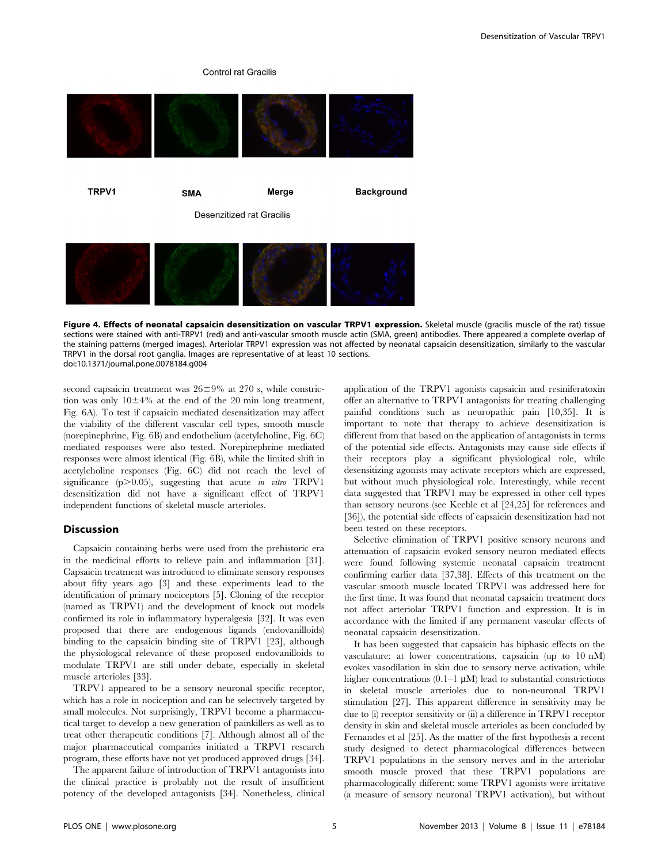

#### **Control rat Gracilis**

Figure 4. Effects of neonatal capsaicin desensitization on vascular TRPV1 expression. Skeletal muscle (gracilis muscle of the rat) tissue sections were stained with anti-TRPV1 (red) and anti-vascular smooth muscle actin (SMA, green) antibodies. There appeared a complete overlap of the staining patterns (merged images). Arteriolar TRPV1 expression was not affected by neonatal capsaicin desensitization, similarly to the vascular TRPV1 in the dorsal root ganglia. Images are representative of at least 10 sections. doi:10.1371/journal.pone.0078184.g004

second capsaicin treatment was  $26\pm9\%$  at 270 s, while constriction was only  $10\pm4\%$  at the end of the 20 min long treatment, Fig. 6A). To test if capsaicin mediated desensitization may affect the viability of the different vascular cell types, smooth muscle (norepinephrine, Fig. 6B) and endothelium (acetylcholine, Fig. 6C) mediated responses were also tested. Norepinephrine mediated responses were almost identical (Fig. 6B), while the limited shift in acetylcholine responses (Fig. 6C) did not reach the level of significance (p $>$ 0.05), suggesting that acute in vitro TRPV1 desensitization did not have a significant effect of TRPV1 independent functions of skeletal muscle arterioles.

# **Discussion**

Capsaicin containing herbs were used from the prehistoric era in the medicinal efforts to relieve pain and inflammation [31]. Capsaicin treatment was introduced to eliminate sensory responses about fifty years ago [3] and these experiments lead to the identification of primary nociceptors [5]. Cloning of the receptor (named as TRPV1) and the development of knock out models confirmed its role in inflammatory hyperalgesia [32]. It was even proposed that there are endogenous ligands (endovanilloids) binding to the capsaicin binding site of TRPV1 [23], although the physiological relevance of these proposed endovanilloids to modulate TRPV1 are still under debate, especially in skeletal muscle arterioles [33].

TRPV1 appeared to be a sensory neuronal specific receptor, which has a role in nociception and can be selectively targeted by small molecules. Not surprisingly, TRPV1 become a pharmaceutical target to develop a new generation of painkillers as well as to treat other therapeutic conditions [7]. Although almost all of the major pharmaceutical companies initiated a TRPV1 research program, these efforts have not yet produced approved drugs [34].

The apparent failure of introduction of TRPV1 antagonists into the clinical practice is probably not the result of insufficient potency of the developed antagonists [34]. Nonetheless, clinical application of the TRPV1 agonists capsaicin and resiniferatoxin offer an alternative to TRPV1 antagonists for treating challenging painful conditions such as neuropathic pain [10,35]. It is important to note that therapy to achieve desensitization is different from that based on the application of antagonists in terms of the potential side effects. Antagonists may cause side effects if their receptors play a significant physiological role, while desensitizing agonists may activate receptors which are expressed, but without much physiological role. Interestingly, while recent data suggested that TRPV1 may be expressed in other cell types than sensory neurons (see Keeble et al [24,25] for references and [36]), the potential side effects of capsaicin desensitization had not been tested on these receptors.

Selective elimination of TRPV1 positive sensory neurons and attenuation of capsaicin evoked sensory neuron mediated effects were found following systemic neonatal capsaicin treatment confirming earlier data [37,38]. Effects of this treatment on the vascular smooth muscle located TRPV1 was addressed here for the first time. It was found that neonatal capsaicin treatment does not affect arteriolar TRPV1 function and expression. It is in accordance with the limited if any permanent vascular effects of neonatal capsaicin desensitization.

It has been suggested that capsaicin has biphasic effects on the vasculature: at lower concentrations, capsaicin (up to 10 nM) evokes vasodilation in skin due to sensory nerve activation, while higher concentrations  $(0.1-1 \mu M)$  lead to substantial constrictions in skeletal muscle arterioles due to non-neuronal TRPV1 stimulation [27]. This apparent difference in sensitivity may be due to (i) receptor sensitivity or (ii) a difference in TRPV1 receptor density in skin and skeletal muscle arterioles as been concluded by Fernandes et al [25]. As the matter of the first hypothesis a recent study designed to detect pharmacological differences between TRPV1 populations in the sensory nerves and in the arteriolar smooth muscle proved that these TRPV1 populations are pharmacologically different: some TRPV1 agonists were irritative (a measure of sensory neuronal TRPV1 activation), but without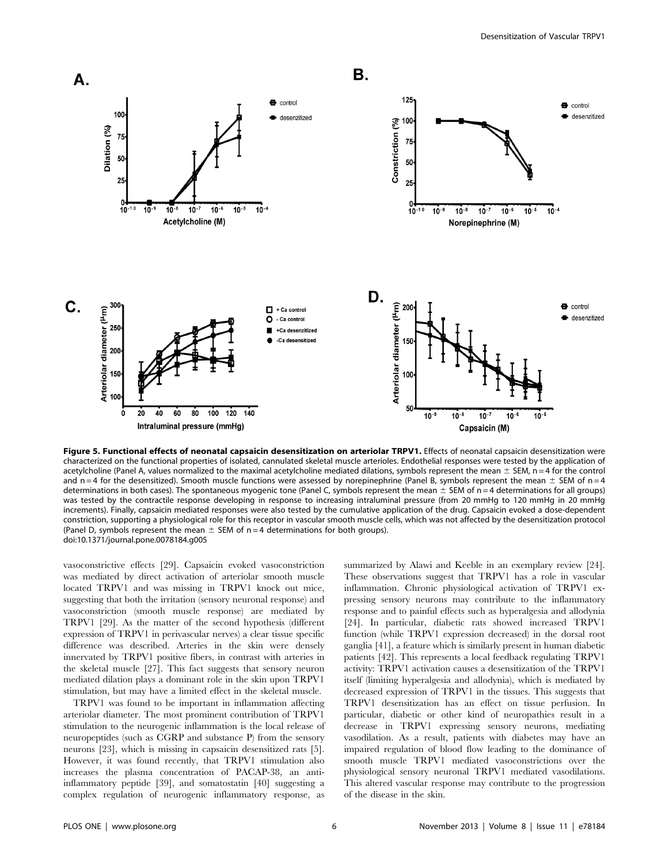

Figure 5. Functional effects of neonatal capsaicin desensitization on arteriolar TRPV1. Effects of neonatal capsaicin desensitization were characterized on the functional properties of isolated, cannulated skeletal muscle arterioles. Endothelial responses were tested by the application of acetylcholine (Panel A, values normalized to the maximal acetylcholine mediated dilations, symbols represent the mean  $\pm$  SEM, n = 4 for the control and  $n = 4$  for the desensitized). Smooth muscle functions were assessed by norepinephrine (Panel B, symbols represent the mean  $\pm$  SEM of n = 4 determinations in both cases). The spontaneous myogenic tone (Panel C, symbols represent the mean  $\pm$  SEM of n = 4 determinations for all groups) was tested by the contractile response developing in response to increasing intraluminal pressure (from 20 mmHg to 120 mmHg in 20 mmHg increments). Finally, capsaicin mediated responses were also tested by the cumulative application of the drug. Capsaicin evoked a dose-dependent constriction, supporting a physiological role for this receptor in vascular smooth muscle cells, which was not affected by the desensitization protocol (Panel D, symbols represent the mean  $\pm$  SEM of n = 4 determinations for both groups). doi:10.1371/journal.pone.0078184.g005

vasoconstrictive effects [29]. Capsaicin evoked vasoconstriction was mediated by direct activation of arteriolar smooth muscle located TRPV1 and was missing in TRPV1 knock out mice, suggesting that both the irritation (sensory neuronal response) and vasoconstriction (smooth muscle response) are mediated by TRPV1 [29]. As the matter of the second hypothesis (different expression of TRPV1 in perivascular nerves) a clear tissue specific difference was described. Arteries in the skin were densely innervated by TRPV1 positive fibers, in contrast with arteries in the skeletal muscle [27]. This fact suggests that sensory neuron mediated dilation plays a dominant role in the skin upon TRPV1 stimulation, but may have a limited effect in the skeletal muscle.

TRPV1 was found to be important in inflammation affecting arteriolar diameter. The most prominent contribution of TRPV1 stimulation to the neurogenic inflammation is the local release of neuropeptides (such as CGRP and substance P) from the sensory neurons [23], which is missing in capsaicin desensitized rats [5]. However, it was found recently, that TRPV1 stimulation also increases the plasma concentration of PACAP-38, an antiinflammatory peptide [39], and somatostatin [40] suggesting a complex regulation of neurogenic inflammatory response, as summarized by Alawi and Keeble in an exemplary review [24]. These observations suggest that TRPV1 has a role in vascular inflammation. Chronic physiological activation of TRPV1 expressing sensory neurons may contribute to the inflammatory response and to painful effects such as hyperalgesia and allodynia [24]. In particular, diabetic rats showed increased TRPV1 function (while TRPV1 expression decreased) in the dorsal root ganglia [41], a feature which is similarly present in human diabetic patients [42]. This represents a local feedback regulating TRPV1 activity: TRPV1 activation causes a desensitization of the TRPV1 itself (limiting hyperalgesia and allodynia), which is mediated by decreased expression of TRPV1 in the tissues. This suggests that TRPV1 desensitization has an effect on tissue perfusion. In particular, diabetic or other kind of neuropathies result in a decrease in TRPV1 expressing sensory neurons, mediating vasodilation. As a result, patients with diabetes may have an impaired regulation of blood flow leading to the dominance of smooth muscle TRPV1 mediated vasoconstrictions over the physiological sensory neuronal TRPV1 mediated vasodilations. This altered vascular response may contribute to the progression of the disease in the skin.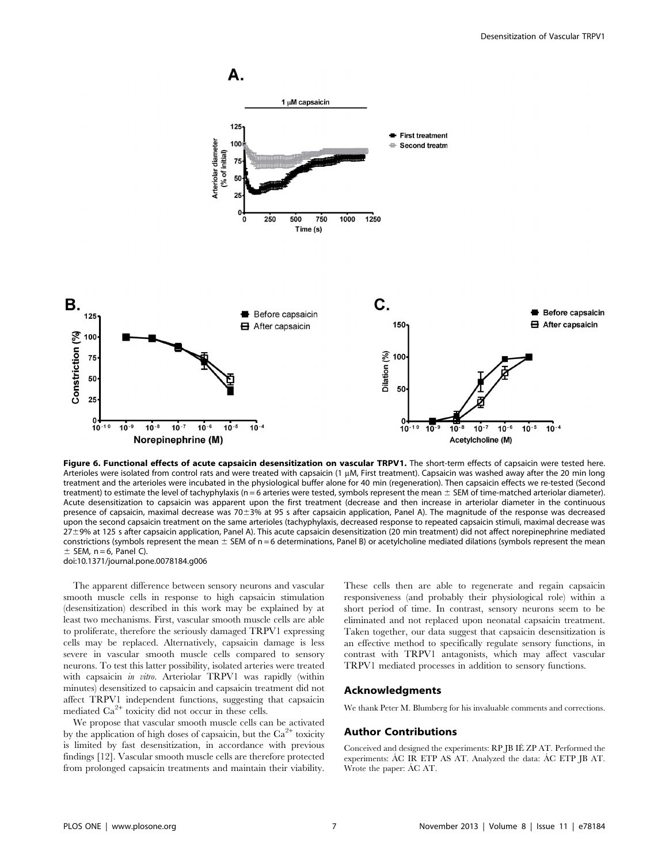

Figure 6. Functional effects of acute capsaicin desensitization on vascular TRPV1. The short-term effects of capsaicin were tested here. Arterioles were isolated from control rats and were treated with capsaicin (1 µM, First treatment). Capsaicin was washed away after the 20 min long treatment and the arterioles were incubated in the physiological buffer alone for 40 min (regeneration). Then capsaicin effects we re-tested (Second treatment) to estimate the level of tachyphylaxis (n = 6 arteries were tested, symbols represent the mean  $\pm$  SEM of time-matched arteriolar diameter). Acute desensitization to capsaicin was apparent upon the first treatment (decrease and then increase in arteriolar diameter in the continuous presence of capsaicin, maximal decrease was  $70\pm3%$  at 95 s after capsaicin application, Panel A). The magnitude of the response was decreased upon the second capsaicin treatment on the same arterioles (tachyphylaxis, decreased response to repeated capsaicin stimuli, maximal decrease was  $27\pm9%$  at 125 s after capsaicin application, Panel A). This acute capsaicin desensitization (20 min treatment) did not affect norepinephrine mediated constrictions (symbols represent the mean  $\pm$  SEM of n = 6 determinations, Panel B) or acetylcholine mediated dilations (symbols represent the mean  $±$  SEM, n = 6, Panel C).

doi:10.1371/journal.pone.0078184.g006

The apparent difference between sensory neurons and vascular smooth muscle cells in response to high capsaicin stimulation (desensitization) described in this work may be explained by at least two mechanisms. First, vascular smooth muscle cells are able to proliferate, therefore the seriously damaged TRPV1 expressing cells may be replaced. Alternatively, capsaicin damage is less severe in vascular smooth muscle cells compared to sensory neurons. To test this latter possibility, isolated arteries were treated with capsaicin in vitro. Arteriolar TRPV1 was rapidly (within minutes) desensitized to capsaicin and capsaicin treatment did not affect TRPV1 independent functions, suggesting that capsaicin mediated  $Ca^{2+}$  toxicity did not occur in these cells.

We propose that vascular smooth muscle cells can be activated by the application of high doses of capsaicin, but the  $Ca^{2+}$  toxicity is limited by fast desensitization, in accordance with previous findings [12]. Vascular smooth muscle cells are therefore protected from prolonged capsaicin treatments and maintain their viability.

These cells then are able to regenerate and regain capsaicin responsiveness (and probably their physiological role) within a short period of time. In contrast, sensory neurons seem to be eliminated and not replaced upon neonatal capsaicin treatment. Taken together, our data suggest that capsaicin desensitization is an effective method to specifically regulate sensory functions, in contrast with TRPV1 antagonists, which may affect vascular TRPV1 mediated processes in addition to sensory functions.

### Acknowledgments

We thank Peter M. Blumberg for his invaluable comments and corrections.

### Author Contributions

Conceived and designed the experiments: RP JB IE´ ZP AT. Performed the experiments: AC IR ETP AS AT. Analyzed the data: AC ETP JB AT. Wrote the paper:  $\widehat{AC}$  AT.